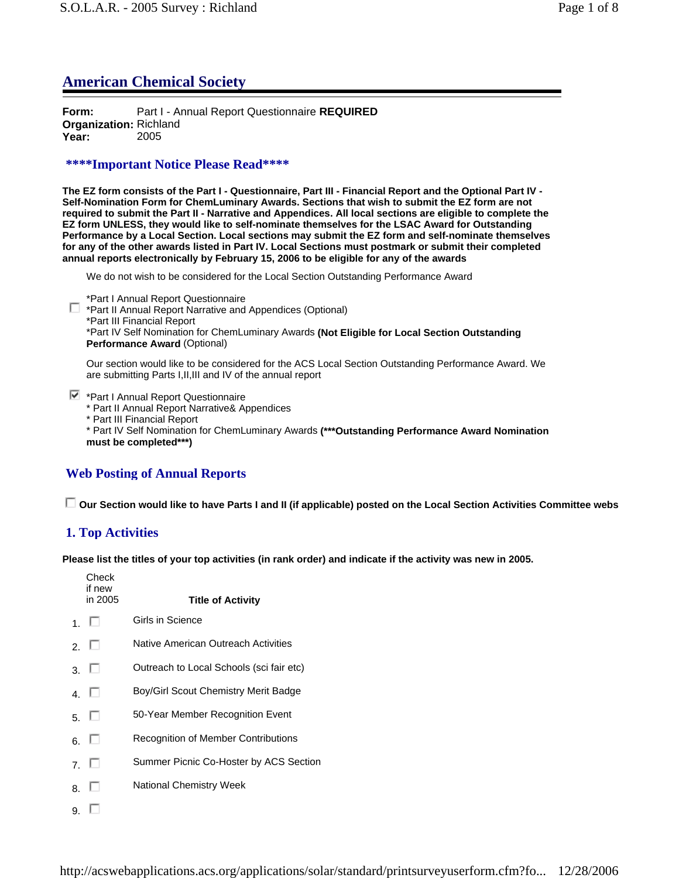# **American Chemical Society**

**Form:** Part I - Annual Report Questionnaire **REQUIRED Organization:** Richland **Year:** 2005

## **\*\*\*\*Important Notice Please Read\*\*\*\***

**The EZ form consists of the Part I - Questionnaire, Part III - Financial Report and the Optional Part IV - Self-Nomination Form for ChemLuminary Awards. Sections that wish to submit the EZ form are not required to submit the Part II - Narrative and Appendices. All local sections are eligible to complete the EZ form UNLESS, they would like to self-nominate themselves for the LSAC Award for Outstanding Performance by a Local Section. Local sections may submit the EZ form and self-nominate themselves for any of the other awards listed in Part IV. Local Sections must postmark or submit their completed annual reports electronically by February 15, 2006 to be eligible for any of the awards**

We do not wish to be considered for the Local Section Outstanding Performance Award

\*Part I Annual Report Questionnaire

\*Part II Annual Report Narrative and Appendices (Optional) \*Part III Financial Report \*Part IV Self Nomination for ChemLuminary Awards **(Not Eligible for Local Section Outstanding Performance Award** (Optional)

Our section would like to be considered for the ACS Local Section Outstanding Performance Award. We are submitting Parts I,II,III and IV of the annual report

 $\blacktriangleright$  \*Part I Annual Report Questionnaire

\* Part II Annual Report Narrative& Appendices

\* Part III Financial Report

\* Part IV Self Nomination for ChemLuminary Awards **(\*\*\*Outstanding Performance Award Nomination must be completed\*\*\*)**

# **Web Posting of Annual Reports**

 **Our Section would like to have Parts I and II (if applicable) posted on the Local Section Activities Committee webs**

# **1. Top Activities**

**Please list the titles of your top activities (in rank order) and indicate if the activity was new in 2005.**

|    | Check<br>if new<br>in 2005 | <b>Title of Activity</b>                 |
|----|----------------------------|------------------------------------------|
|    | 1. LI                      | Girls in Science                         |
|    | 2. $\Box$                  | Native American Outreach Activities      |
|    | 3. $\Box$                  | Outreach to Local Schools (sci fair etc) |
|    | 4 L                        | Boy/Girl Scout Chemistry Merit Badge     |
|    | 5. LI                      | 50-Year Member Recognition Event         |
|    | 6. L                       | Recognition of Member Contributions      |
|    | 7 I                        | Summer Picnic Co-Hoster by ACS Section   |
| 8. |                            | National Chemistry Week                  |
| 9. |                            |                                          |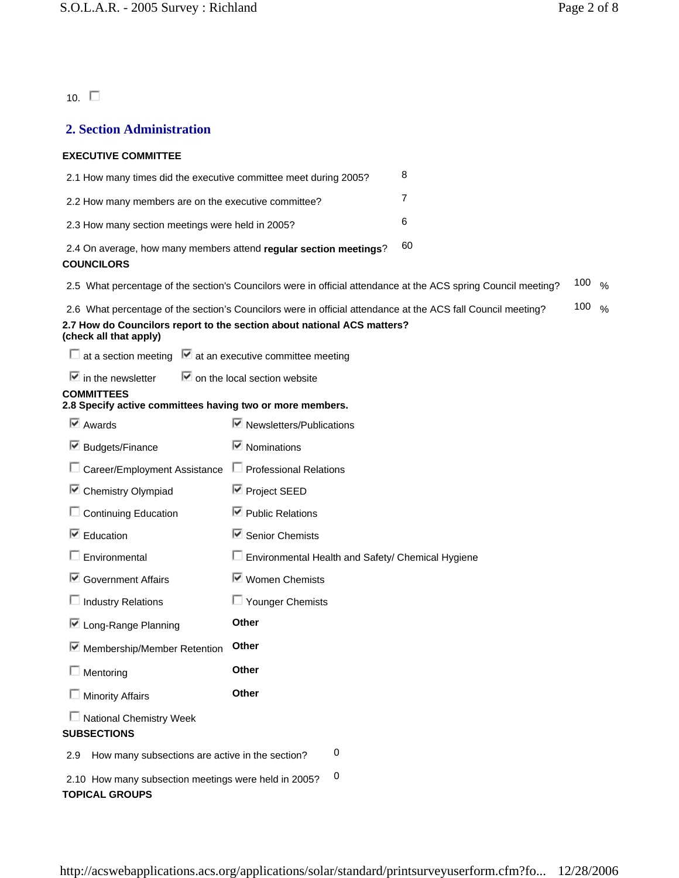10.  $\square$ 

## **2. Section Administration**

### **EXECUTIVE COMMITTEE**

| 2.1 How many times did the executive committee meet during 2005?                       |                                                                                                                                                                                         | 8  |                   |  |
|----------------------------------------------------------------------------------------|-----------------------------------------------------------------------------------------------------------------------------------------------------------------------------------------|----|-------------------|--|
| 2.2 How many members are on the executive committee?                                   |                                                                                                                                                                                         | 7  |                   |  |
| 2.3 How many section meetings were held in 2005?                                       |                                                                                                                                                                                         | 6  |                   |  |
| 2.4 On average, how many members attend regular section meetings?<br><b>COUNCILORS</b> |                                                                                                                                                                                         | 60 |                   |  |
|                                                                                        | 2.5 What percentage of the section's Councilors were in official attendance at the ACS spring Council meeting?                                                                          |    | 100 $\frac{9}{6}$ |  |
| (check all that apply)                                                                 | 2.6 What percentage of the section's Councilors were in official attendance at the ACS fall Council meeting?<br>2.7 How do Councilors report to the section about national ACS matters? |    | 100 $\frac{9}{6}$ |  |
| $\Box$ at a section meeting $\Box$ at an executive committee meeting                   |                                                                                                                                                                                         |    |                   |  |
| $\blacksquare$ in the newsletter                                                       | $\blacksquare$ on the local section website                                                                                                                                             |    |                   |  |
| <b>COMMITTEES</b><br>2.8 Specify active committees having two or more members.         |                                                                                                                                                                                         |    |                   |  |
| $\overline{\triangleright}$ Awards                                                     | $\triangleright$ Newsletters/Publications                                                                                                                                               |    |                   |  |
| ■ Budgets/Finance                                                                      | $\blacksquare$ Nominations                                                                                                                                                              |    |                   |  |
| Career/Employment Assistance                                                           | $\Box$ Professional Relations                                                                                                                                                           |    |                   |  |
| Chemistry Olympiad<br>⊵                                                                | <b>■</b> Project SEED                                                                                                                                                                   |    |                   |  |
| <b>Continuing Education</b>                                                            | $\boxdot$ Public Relations                                                                                                                                                              |    |                   |  |
| $\boxdot$ Education                                                                    | $\blacksquare$ Senior Chemists                                                                                                                                                          |    |                   |  |
| Environmental                                                                          | Environmental Health and Safety/ Chemical Hygiene                                                                                                                                       |    |                   |  |
| Government Affairs                                                                     | ■ Women Chemists                                                                                                                                                                        |    |                   |  |
| $\Box$ Industry Relations                                                              | $\Box$ Younger Chemists                                                                                                                                                                 |    |                   |  |
| □ Long-Range Planning                                                                  | Other                                                                                                                                                                                   |    |                   |  |
| Membership/Member Retention                                                            | Other                                                                                                                                                                                   |    |                   |  |
| $\Box$ Mentoring                                                                       | Other                                                                                                                                                                                   |    |                   |  |
| $\Box$ Minority Affairs                                                                | Other                                                                                                                                                                                   |    |                   |  |
| $\Box$ National Chemistry Week<br><b>SUBSECTIONS</b>                                   |                                                                                                                                                                                         |    |                   |  |
| How many subsections are active in the section?<br>2.9                                 | 0                                                                                                                                                                                       |    |                   |  |
| 2.10 How many subsection meetings were held in 2005?<br><b>TOPICAL GROUPS</b>          | 0                                                                                                                                                                                       |    |                   |  |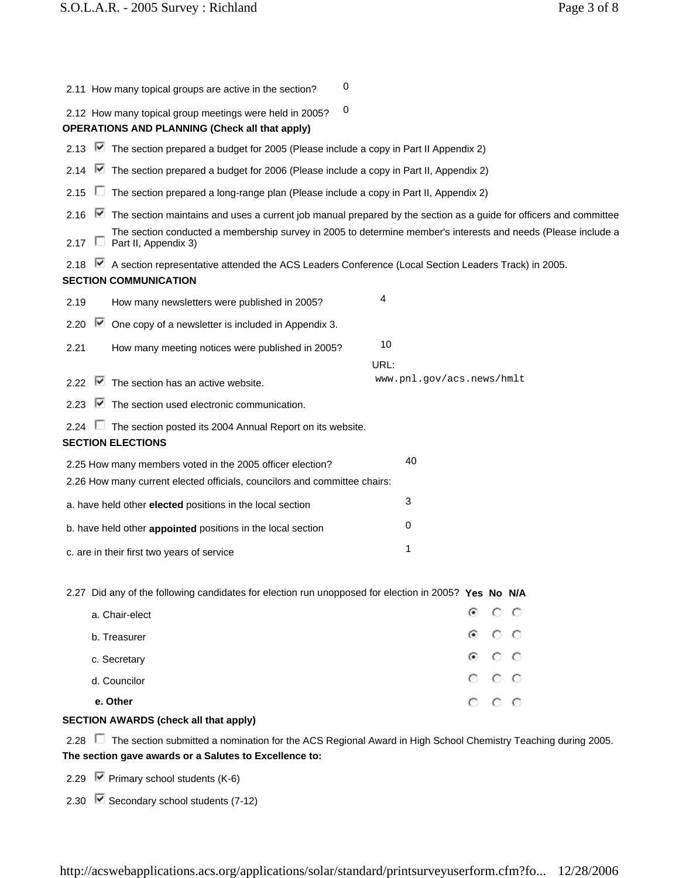| 2.11 How many topical groups are active in the section?                                                                                     | 0                                                                                                                   |
|---------------------------------------------------------------------------------------------------------------------------------------------|---------------------------------------------------------------------------------------------------------------------|
| 2.12 How many topical group meetings were held in 2005?<br><b>OPERATIONS AND PLANNING (Check all that apply)</b>                            | 0                                                                                                                   |
| 2.13 ■ The section prepared a budget for 2005 (Please include a copy in Part II Appendix 2)                                                 |                                                                                                                     |
| $\blacktriangleright$ The section prepared a budget for 2006 (Please include a copy in Part II, Appendix 2)<br>2.14                         |                                                                                                                     |
| The section prepared a long-range plan (Please include a copy in Part II, Appendix 2)<br>2.15                                               |                                                                                                                     |
| 2.16                                                                                                                                        | The section maintains and uses a current job manual prepared by the section as a guide for officers and committee   |
| Part II, Appendix 3)<br>2.17<br><b>L</b>                                                                                                    | The section conducted a membership survey in 2005 to determine member's interests and needs (Please include a       |
| A section representative attended the ACS Leaders Conference (Local Section Leaders Track) in 2005.<br>2.18<br><b>SECTION COMMUNICATION</b> |                                                                                                                     |
| How many newsletters were published in 2005?<br>2.19                                                                                        | 4                                                                                                                   |
| ⊮<br>One copy of a newsletter is included in Appendix 3.<br>2.20                                                                            |                                                                                                                     |
| 2.21<br>How many meeting notices were published in 2005?                                                                                    | 10<br>URL:                                                                                                          |
| $\blacktriangleright$ The section has an active website.<br>2.22                                                                            | www.pnl.gov/acs.news/hmlt                                                                                           |
| M<br>The section used electronic communication.<br>2.23                                                                                     |                                                                                                                     |
| The section posted its 2004 Annual Report on its website.<br>2.24<br><b>SECTION ELECTIONS</b>                                               |                                                                                                                     |
| 2.25 How many members voted in the 2005 officer election?                                                                                   | 40                                                                                                                  |
| 2.26 How many current elected officials, councilors and committee chairs:                                                                   |                                                                                                                     |
| a. have held other elected positions in the local section                                                                                   | 3                                                                                                                   |
| b. have held other appointed positions in the local section                                                                                 | 0                                                                                                                   |
| c. are in their first two years of service                                                                                                  | 1                                                                                                                   |
| 2.27 Did any of the following candidates for election run unopposed for election in 2005? Yes No N/A                                        |                                                                                                                     |
| a. Chair-elect                                                                                                                              | o o<br>o                                                                                                            |
| b. Treasurer                                                                                                                                | ⊛<br><u>o o</u>                                                                                                     |
| c. Secretary                                                                                                                                | -00                                                                                                                 |
| d. Councilor                                                                                                                                | $\circ\,\circ\,\circ$                                                                                               |
| e. Other                                                                                                                                    | $\circ$ $\circ$ $\circ$                                                                                             |
| <b>SECTION AWARDS (check all that apply)</b>                                                                                                |                                                                                                                     |
| 2.28<br>The section gave awards or a Salutes to Excellence to:                                                                              | $\Box$ The section submitted a nomination for the ACS Regional Award in High School Chemistry Teaching during 2005. |

2.29  $\boxed{\triangledown}$  Primary school students (K-6)

2.30  $\triangledown$  Secondary school students (7-12)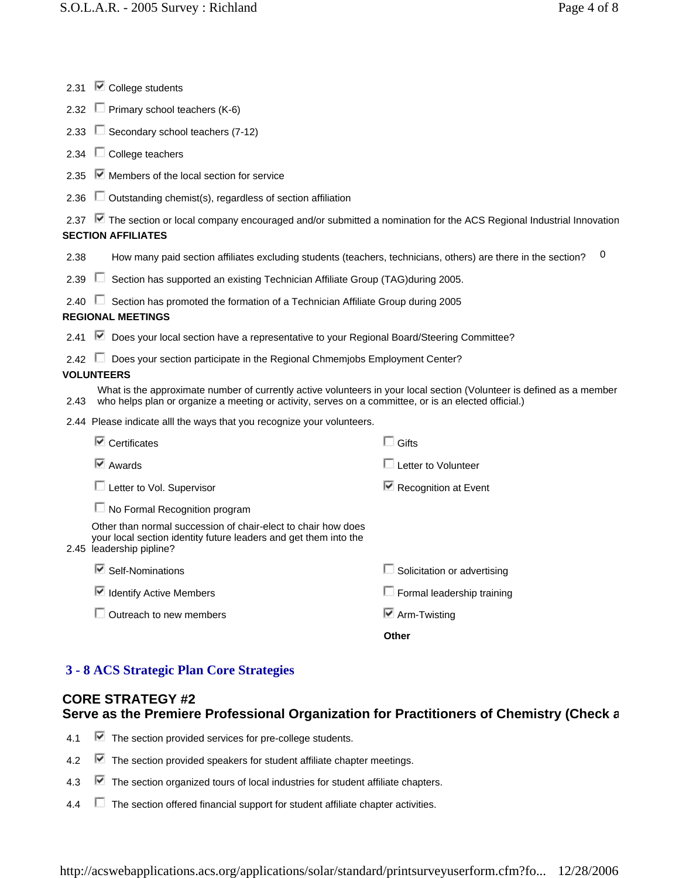| 2.31 | $\blacksquare$ College students                                                                                                                                                                                               |                                     |  |
|------|-------------------------------------------------------------------------------------------------------------------------------------------------------------------------------------------------------------------------------|-------------------------------------|--|
| 2.32 | $\Box$ Primary school teachers (K-6)                                                                                                                                                                                          |                                     |  |
| 2.33 | $\Box$ Secondary school teachers (7-12)                                                                                                                                                                                       |                                     |  |
| 2.34 | $\Box$ College teachers                                                                                                                                                                                                       |                                     |  |
| 2.35 | $\blacksquare$ Members of the local section for service                                                                                                                                                                       |                                     |  |
| 2.36 | $\Box$ Outstanding chemist(s), regardless of section affiliation                                                                                                                                                              |                                     |  |
|      | 2.37 <b>■</b> The section or local company encouraged and/or submitted a nomination for the ACS Regional Industrial Innovation<br><b>SECTION AFFILIATES</b>                                                                   |                                     |  |
| 2.38 | How many paid section affiliates excluding students (teachers, technicians, others) are there in the section?                                                                                                                 | 0                                   |  |
| 2.39 | Section has supported an existing Technician Affiliate Group (TAG) during 2005.<br>U                                                                                                                                          |                                     |  |
| 2.40 | Section has promoted the formation of a Technician Affiliate Group during 2005<br>$\mathbf{L}$<br><b>REGIONAL MEETINGS</b>                                                                                                    |                                     |  |
| 2.41 | Ⅳ Does your local section have a representative to your Regional Board/Steering Committee?                                                                                                                                    |                                     |  |
|      | 2.42 <b>Does your section participate in the Regional Chmemjobs Employment Center?</b><br><b>VOLUNTEERS</b>                                                                                                                   |                                     |  |
| 2.43 | What is the approximate number of currently active volunteers in your local section (Volunteer is defined as a member<br>who helps plan or organize a meeting or activity, serves on a committee, or is an elected official.) |                                     |  |
|      | 2.44 Please indicate alll the ways that you recognize your volunteers.                                                                                                                                                        |                                     |  |
|      | $\blacksquare$ Certificates                                                                                                                                                                                                   | $\Box$ Gifts                        |  |
|      | $\overline{\triangledown}$ Awards                                                                                                                                                                                             | $\Box$ Letter to Volunteer          |  |
|      | $\Box$ Letter to Vol. Supervisor                                                                                                                                                                                              | $\blacksquare$ Recognition at Event |  |
|      | $\Box$ No Formal Recognition program                                                                                                                                                                                          |                                     |  |
|      | Other than normal succession of chair-elect to chair how does<br>your local section identity future leaders and get them into the<br>2.45 leadership pipline?                                                                 |                                     |  |
|      | ■ Self-Nominations                                                                                                                                                                                                            | $\Box$ Solicitation or advertising  |  |
|      | Identify Active Members                                                                                                                                                                                                       | $\Box$ Formal leadership training   |  |
|      | $\Box$ Outreach to new members                                                                                                                                                                                                | $\boxdot$ Arm-Twisting              |  |
|      |                                                                                                                                                                                                                               | Other                               |  |

## **3 - 8 ACS Strategic Plan Core Strategies**

# **CORE STRATEGY #2 Serve as the Premiere Professional Organization for Practitioners of Chemistry (Check a**

- 4.1  $\blacksquare$  The section provided services for pre-college students.
- 4.2  $\blacksquare$  The section provided speakers for student affiliate chapter meetings.
- 4.3 The section organized tours of local industries for student affiliate chapters.
- 4.4 The section offered financial support for student affiliate chapter activities.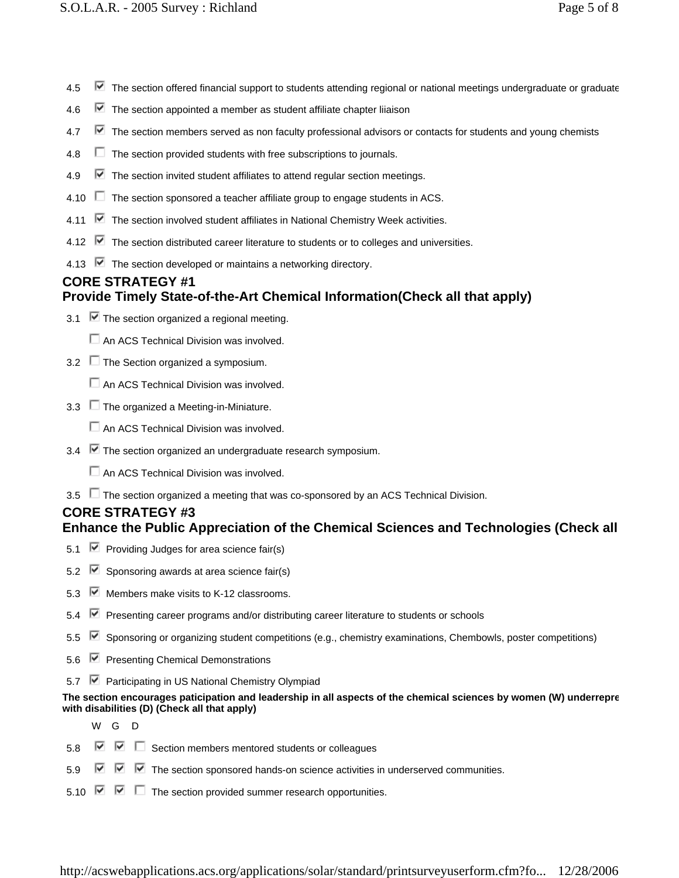- 4.5  $\blacksquare$  The section offered financial support to students attending regional or national meetings undergraduate or graduate
- 4.6  $\blacktriangleright$  The section appointed a member as student affiliate chapter liiaison
- 4.7  $\blacktriangledown$  The section members served as non faculty professional advisors or contacts for students and young chemists
- 4.8  $\Box$  The section provided students with free subscriptions to journals.
- 4.9  $\blacksquare$  The section invited student affiliates to attend regular section meetings.
- 4.10  $\Box$  The section sponsored a teacher affiliate group to engage students in ACS.
- 4.11  $\blacksquare$  The section involved student affiliates in National Chemistry Week activities.
- 4.12  $\blacktriangleright$  The section distributed career literature to students or to colleges and universities.
- 4.13  $\triangledown$  The section developed or maintains a networking directory.

## **CORE STRATEGY #1 Provide Timely State-of-the-Art Chemical Information(Check all that apply)**

- 3.1  $\triangledown$  The section organized a regional meeting.
	- $\Box$  An ACS Technical Division was involved.
- 3.2 The Section organized a symposium.
	- $\Box$  An ACS Technical Division was involved.
- 3.3  $\Box$  The organized a Meeting-in-Miniature.

 $\Box$  An ACS Technical Division was involved.

3.4  $\blacktriangleright$  The section organized an undergraduate research symposium.

 $\Box$  An ACS Technical Division was involved.

3.5 The section organized a meeting that was co-sponsored by an ACS Technical Division.

## **CORE STRATEGY #3 Enhance the Public Appreciation of the Chemical Sciences and Technologies (Check all**

- 5.1  $\blacktriangleright$  Providing Judges for area science fair(s)
- 5.2  $\blacktriangleright$  Sponsoring awards at area science fair(s)
- 5.3 Members make visits to K-12 classrooms.
- 5.4 Presenting career programs and/or distributing career literature to students or schools
- 5.5 Sponsoring or organizing student competitions (e.g., chemistry examinations, Chembowls, poster competitions)
- 5.6 P Presenting Chemical Demonstrations
- 5.7 **■** Participating in US National Chemistry Olympiad

#### **The section encourages paticipation and leadership in all aspects of the chemical sciences by women (W) underrepre with disabilities (D) (Check all that apply)**

WG D

- 5.8  $\triangleright$   $\triangleright$   $\square$  Section members mentored students or colleagues
- 5.9  $\triangledown$   $\triangledown$   $\triangledown$  The section sponsored hands-on science activities in underserved communities.
- 5.10  $\boxed{\triangleright}$   $\boxed{\triangleright}$  The section provided summer research opportunities.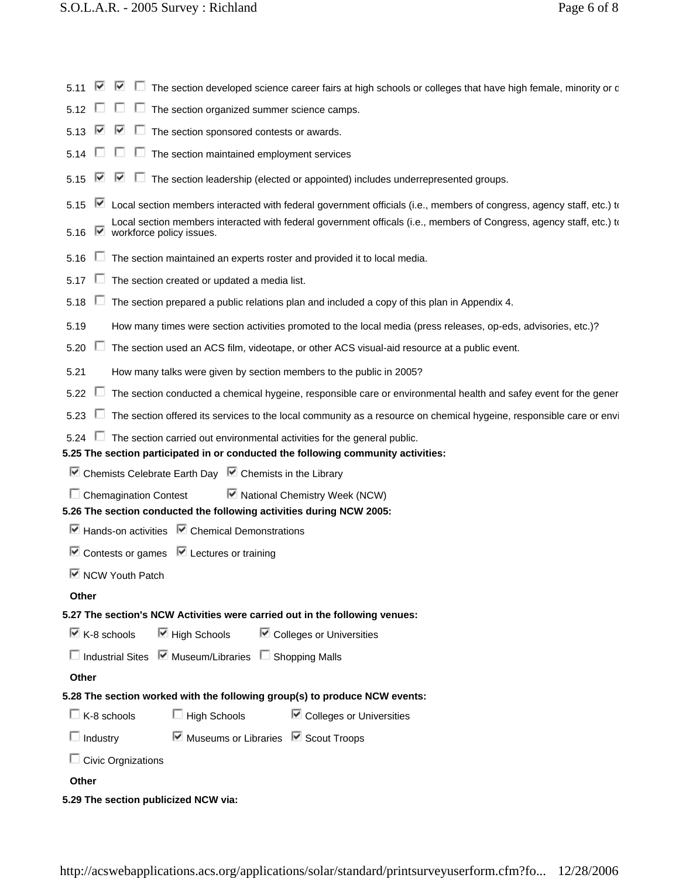| The section developed science career fairs at high schools or colleges that have high female, minority or c<br>⊮<br>⊮<br>5.11                                                                                                                                                                       |
|-----------------------------------------------------------------------------------------------------------------------------------------------------------------------------------------------------------------------------------------------------------------------------------------------------|
| The section organized summer science camps.<br>5.12                                                                                                                                                                                                                                                 |
| ▽<br>The section sponsored contests or awards.<br>M<br>5.13<br>$\Box$                                                                                                                                                                                                                               |
| The section maintained employment services<br>5.14                                                                                                                                                                                                                                                  |
| The section leadership (elected or appointed) includes underrepresented groups.<br>⊮<br>5.15                                                                                                                                                                                                        |
| M<br>Local section members interacted with federal government officials (i.e., members of congress, agency staff, etc.) to<br>5.15<br>Local section members interacted with federal government officals (i.e., members of Congress, agency staff, etc.) to<br>M<br>workforce policy issues.<br>5.16 |
| The section maintained an experts roster and provided it to local media.<br>5.16                                                                                                                                                                                                                    |
| The section created or updated a media list.<br>5.17                                                                                                                                                                                                                                                |
| The section prepared a public relations plan and included a copy of this plan in Appendix 4.<br>5.18                                                                                                                                                                                                |
| How many times were section activities promoted to the local media (press releases, op-eds, advisories, etc.)?<br>5.19                                                                                                                                                                              |
| 5.20<br>ш<br>The section used an ACS film, videotape, or other ACS visual-aid resource at a public event.                                                                                                                                                                                           |
| How many talks were given by section members to the public in 2005?<br>5.21                                                                                                                                                                                                                         |
| 5.22<br>The section conducted a chemical hygeine, responsible care or environmental health and safey event for the gener                                                                                                                                                                            |
| The section offered its services to the local community as a resource on chemical hygeine, responsible care or envi<br>5.23                                                                                                                                                                         |
| 5.24 $\Box$ The section carried out environmental activities for the general public.                                                                                                                                                                                                                |
| 5.25 The section participated in or conducted the following community activities:                                                                                                                                                                                                                   |
| $\blacksquare$ Chemists Celebrate Earth Day $\blacksquare$ Chemists in the Library                                                                                                                                                                                                                  |
| ■ National Chemistry Week (NCW)<br>$\Box$ Chemagination Contest                                                                                                                                                                                                                                     |
| 5.26 The section conducted the following activities during NCW 2005:                                                                                                                                                                                                                                |
| $\blacksquare$ Hands-on activities $\blacksquare$ Chemical Demonstrations                                                                                                                                                                                                                           |
| $\triangleright$ Contests or games $\triangleright$ Lectures or training                                                                                                                                                                                                                            |
| $\overline{\mathbf{M}}$ NCW Youth Patch                                                                                                                                                                                                                                                             |
| Other                                                                                                                                                                                                                                                                                               |
| 5.27 The section's NCW Activities were carried out in the following venues:                                                                                                                                                                                                                         |
| ■ High Schools ■ Colleges or Universities<br>$\boxdot$ K-8 schools                                                                                                                                                                                                                                  |
| □ Industrial Sites V Museum/Libraries □ Shopping Malls                                                                                                                                                                                                                                              |
| Other                                                                                                                                                                                                                                                                                               |
| 5.28 The section worked with the following group(s) to produce NCW events:                                                                                                                                                                                                                          |
| $\Box$ K-8 schools<br>$\Box$ High Schools<br>$\triangleright$ Colleges or Universities                                                                                                                                                                                                              |
| □ Industry <b>■</b> Museums or Libraries ■ Scout Troops                                                                                                                                                                                                                                             |
| $\Box$ Civic Orgnizations                                                                                                                                                                                                                                                                           |
| Other                                                                                                                                                                                                                                                                                               |
| 5.29 The section publicized NCW via:                                                                                                                                                                                                                                                                |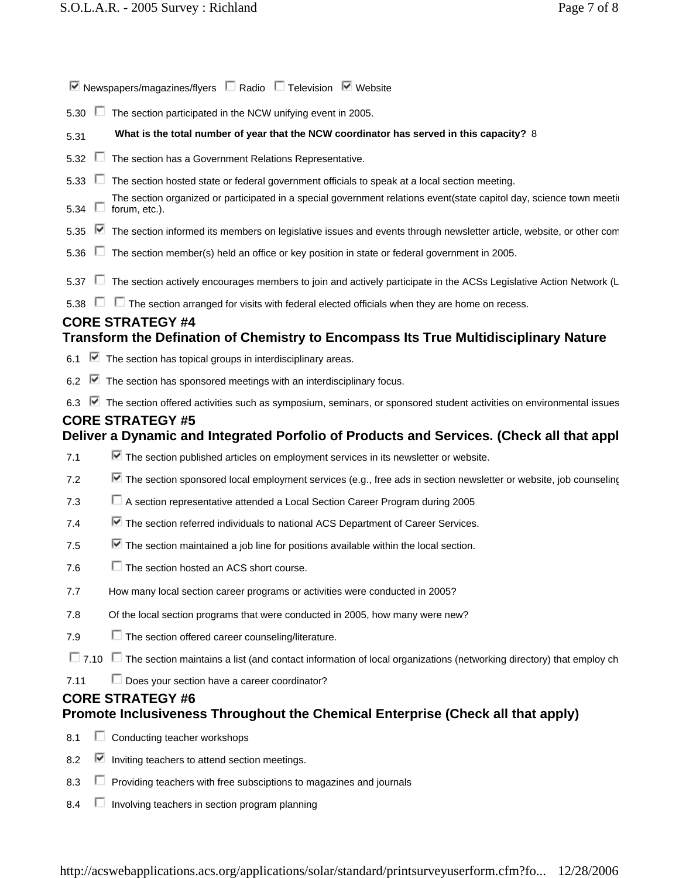| $\nabla$ Newspapers/magazines/flyers $\Box$ Radio $\Box$ Television $\nabla$ Website                                                               |  |
|----------------------------------------------------------------------------------------------------------------------------------------------------|--|
| 5.30<br>The section participated in the NCW unifying event in 2005.                                                                                |  |
| What is the total number of year that the NCW coordinator has served in this capacity? 8<br>5.31                                                   |  |
| ш<br>The section has a Government Relations Representative.<br>5.32                                                                                |  |
| 5.33<br>U<br>The section hosted state or federal government officials to speak at a local section meeting.                                         |  |
| The section organized or participated in a special government relations event(state capitol day, science town meetin<br>forum, etc.).<br>5.34<br>U |  |
| ■ The section informed its members on legislative issues and events through newsletter article, website, or other com<br>5.35                      |  |
| The section member(s) held an office or key position in state or federal government in 2005.<br>5.36                                               |  |
| The section actively encourages members to join and actively participate in the ACSs Legislative Action Network (L<br>5.37<br>U.                   |  |
| $\Box$ The section arranged for visits with federal elected officials when they are home on recess.<br>U<br>5.38                                   |  |
| <b>CORE STRATEGY #4</b>                                                                                                                            |  |
| Transform the Defination of Chemistry to Encompass Its True Multidisciplinary Nature                                                               |  |
| 6.1 $\blacksquare$ The section has topical groups in interdisciplinary areas.                                                                      |  |
| $\blacksquare$ The section has sponsored meetings with an interdisciplinary focus.<br>6.2                                                          |  |
| The section offered activities such as symposium, seminars, or sponsored student activities on environmental issues<br>6.3                         |  |
| <b>CORE STRATEGY #5</b><br>Deliver a Dynamic and Integrated Porfolio of Products and Services. (Check all that appl                                |  |
| $\blacktriangleright$ The section published articles on employment services in its newsletter or website.<br>7.1                                   |  |
|                                                                                                                                                    |  |
| $\blacktriangleright$ The section sponsored local employment services (e.g., free ads in section newsletter or website, job counseling<br>7.2      |  |
| □ A section representative attended a Local Section Career Program during 2005<br>7.3                                                              |  |
| ■ The section referred individuals to national ACS Department of Career Services.<br>7.4                                                           |  |
| $\blacktriangleright$ The section maintained a job line for positions available within the local section.<br>7.5                                   |  |
| $\Box$ The section hosted an ACS short course.<br>7.6                                                                                              |  |
| How many local section career programs or activities were conducted in 2005?<br>7.7                                                                |  |
| Of the local section programs that were conducted in 2005, how many were new?<br>7.8                                                               |  |
| $\Box$ The section offered career counseling/literature.<br>7.9                                                                                    |  |
| $\Box$ 7.10 $\Box$ The section maintains a list (and contact information of local organizations (networking directory) that employ ch              |  |
| $\Box$ Does your section have a career coordinator?<br>7.11                                                                                        |  |
| <b>CORE STRATEGY #6</b>                                                                                                                            |  |
| Promote Inclusiveness Throughout the Chemical Enterprise (Check all that apply)                                                                    |  |
| Conducting teacher workshops<br>8.1                                                                                                                |  |
| 8.2<br>M<br>Inviting teachers to attend section meetings.                                                                                          |  |
| 8.3<br>Providing teachers with free subsciptions to magazines and journals                                                                         |  |

8.4 **ID** Involving teachers in section program planning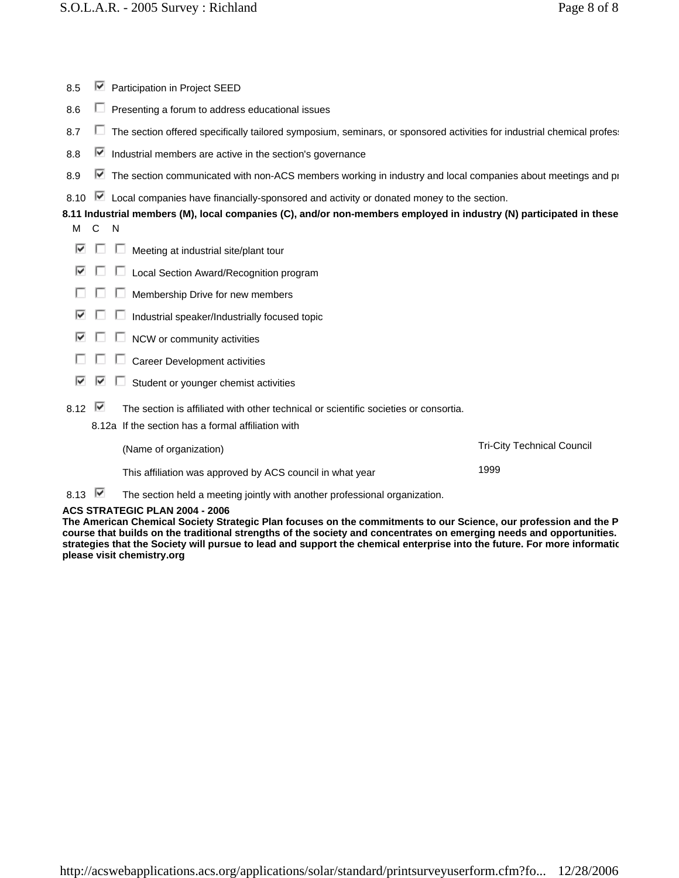- 8.5  $\blacksquare$  Participation in Project SEED
- 8.6  $\Box$  Presenting a forum to address educational issues
- 8.7  $\Box$  The section offered specifically tailored symposium, seminars, or sponsored activities for industrial chemical profess
- 8.8  $\triangleright$  Industrial members are active in the section's governance
- 8.9 The section communicated with non-ACS members working in industry and local companies about meetings and pr
- 8.10  $\blacktriangleright$  Local companies have financially-sponsored and activity or donated money to the section.

**8.11 Industrial members (M), local companies (C), and/or non-members employed in industry (N) participated in these** 

- M<sub>C</sub>N
- $\blacksquare$   $\blacksquare$  Meeting at industrial site/plant tour
- $\nabla$   $\square$   $\square$  Local Section Award/Recognition program
- п  $\Box$  Membership Drive for new members
- ⊽ ⊡  $\Box$  Industrial speaker/Industrially focused topic
- $\Box$   $\Box$  NCW or community activities
- $\Box$   $\Box$   $\Box$  Career Development activities
- $\overline{\triangledown}$   $\overline{\triangledown}$  Student or younger chemist activities
- 8.12  $\blacksquare$  The section is affiliated with other technical or scientific societies or consortia.
	- 8.12a If the section has a formal affiliation with

| (Name of organization)                                    | <b>Tri-City Technical Council</b> |
|-----------------------------------------------------------|-----------------------------------|
| This affiliation was approved by ACS council in what year | 1999                              |

8.13  $\blacktriangleright$  The section held a meeting jointly with another professional organization.

#### **ACS STRATEGIC PLAN 2004 - 2006**

**The American Chemical Society Strategic Plan focuses on the commitments to our Science, our profession and the P course that builds on the traditional strengths of the society and concentrates on emerging needs and opportunities. strategies that the Society will pursue to lead and support the chemical enterprise into the future. For more informatio please visit chemistry.org**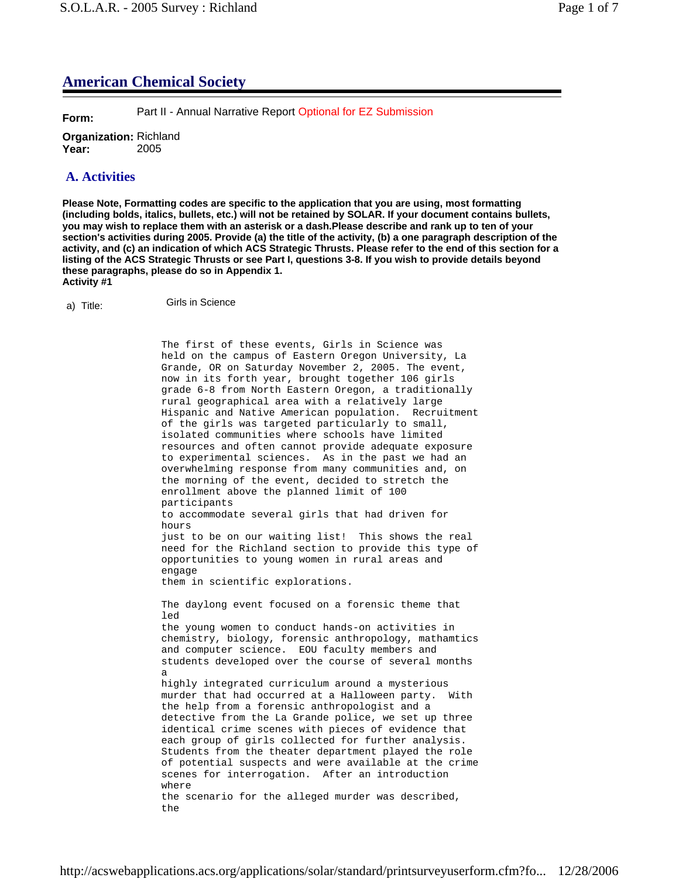# **American Chemical Society**

**Form:** Part II - Annual Narrative Report Optional for EZ Submission

**Organization:** Richland **Year:** 2005

# **A. Activities**

**Please Note, Formatting codes are specific to the application that you are using, most formatting (including bolds, italics, bullets, etc.) will not be retained by SOLAR. If your document contains bullets, you may wish to replace them with an asterisk or a dash.Please describe and rank up to ten of your section's activities during 2005. Provide (a) the title of the activity, (b) a one paragraph description of the activity, and (c) an indication of which ACS Strategic Thrusts. Please refer to the end of this section for a listing of the ACS Strategic Thrusts or see Part I, questions 3-8. If you wish to provide details beyond these paragraphs, please do so in Appendix 1. Activity #1**

a) Title: Girls in Science

The first of these events, Girls in Science was held on the campus of Eastern Oregon University, La Grande, OR on Saturday November 2, 2005. The event, now in its forth year, brought together 106 girls grade 6-8 from North Eastern Oregon, a traditionally rural geographical area with a relatively large Hispanic and Native American population. Recruitment of the girls was targeted particularly to small, isolated communities where schools have limited resources and often cannot provide adequate exposure to experimental sciences. As in the past we had an overwhelming response from many communities and, on the morning of the event, decided to stretch the enrollment above the planned limit of 100 participants to accommodate several girls that had driven for hours just to be on our waiting list! This shows the real need for the Richland section to provide this type of opportunities to young women in rural areas and engage them in scientific explorations. The daylong event focused on a forensic theme that led the young women to conduct hands-on activities in chemistry, biology, forensic anthropology, mathamtics and computer science. EOU faculty members and students developed over the course of several months a highly integrated curriculum around a mysterious murder that had occurred at a Halloween party. With the help from a forensic anthropologist and a detective from the La Grande police, we set up three identical crime scenes with pieces of evidence that each group of girls collected for further analysis. Students from the theater department played the role of potential suspects and were available at the crime scenes for interrogation. After an introduction where the scenario for the alleged murder was described, the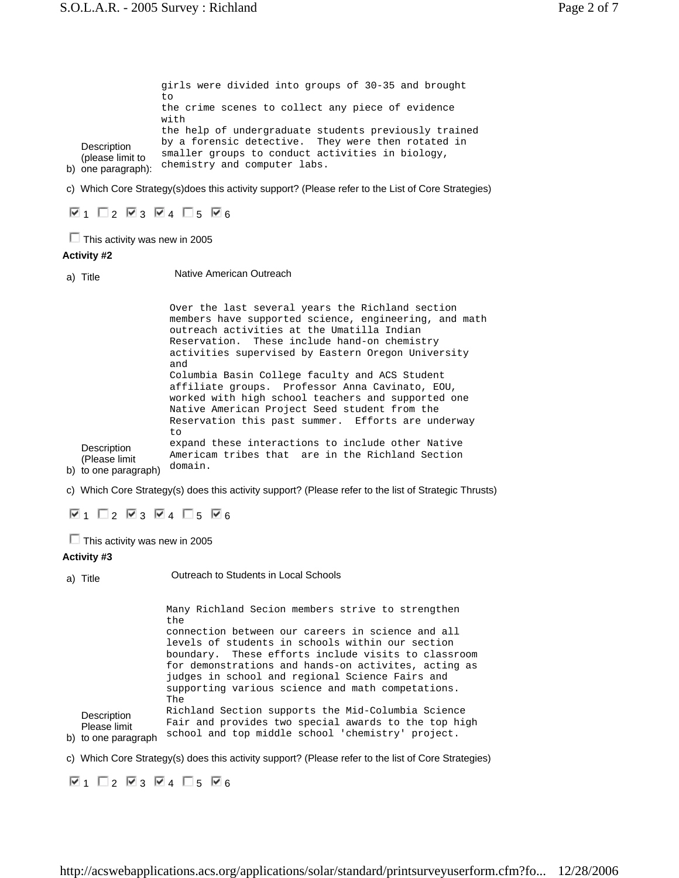**Description** (please limit to girls were divided into groups of 30-35 and brought to the crime scenes to collect any piece of evidence with the help of undergraduate students previously trained by a forensic detective. They were then rotated in smaller groups to conduct activities in biology, chemistry and computer labs.

b) one paragraph):

c) Which Core Strategy(s)does this activity support? (Please refer to the List of Core Strategies)

 $\nabla_1$   $\Box$  2  $\nabla_3$   $\nabla_4$   $\Box$  5  $\nabla_6$ 

 $\Box$  This activity was new in 2005

### **Activity #2**

a) Title **Native American Outreach** 

**Description** (Please limit Over the last several years the Richland section members have supported science, engineering, and math outreach activities at the Umatilla Indian Reservation. These include hand-on chemistry activities supervised by Eastern Oregon University and Columbia Basin College faculty and ACS Student affiliate groups. Professor Anna Cavinato, EOU, worked with high school teachers and supported one Native American Project Seed student from the Reservation this past summer. Efforts are underway to expand these interactions to include other Native Americam tribes that are in the Richland Section domain.

b) to one paragraph)

c) Which Core Strategy(s) does this activity support? (Please refer to the list of Strategic Thrusts)

 $\nabla$ 1  $\Box$ 2  $\nabla$ 3  $\nabla$ 4  $\Box$ 5  $\nabla$ 6

 $\Box$  This activity was new in 2005

#### **Activity #3**

a) Title Outreach to Students in Local Schools

b) to one paragraph **Description** Please limit Many Richland Secion members strive to strengthen the connection between our careers in science and all levels of students in schools within our section boundary. These efforts include visits to classroom for demonstrations and hands-on activites, acting as judges in school and regional Science Fairs and supporting various science and math competations. The Richland Section supports the Mid-Columbia Science Fair and provides two special awards to the top high school and top middle school 'chemistry' project.

c) Which Core Strategy(s) does this activity support? (Please refer to the list of Core Strategies)

 $\nabla$ 1  $\Box$ 2  $\nabla$ 3  $\nabla$ 4  $\Box$ 5  $\nabla$ 6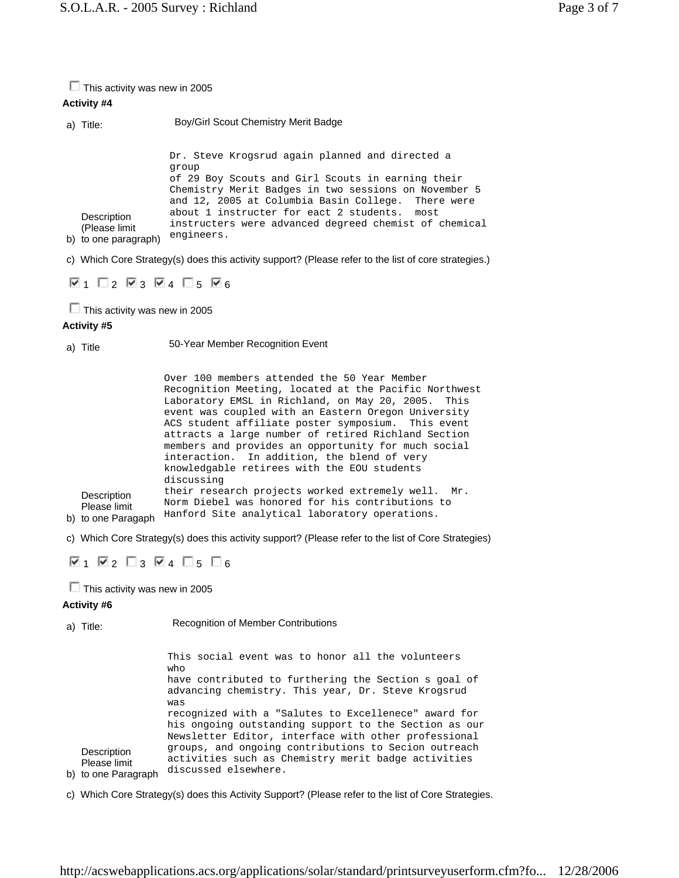| $\Box$ This activity was new in 2005<br><b>Activity #4</b> |                                                                                                                                                                |                                                                                                                                                                                                                                                                                                                                                                                                                                                                                                                                                                                                                                                                                                                                                                                   |
|------------------------------------------------------------|----------------------------------------------------------------------------------------------------------------------------------------------------------------|-----------------------------------------------------------------------------------------------------------------------------------------------------------------------------------------------------------------------------------------------------------------------------------------------------------------------------------------------------------------------------------------------------------------------------------------------------------------------------------------------------------------------------------------------------------------------------------------------------------------------------------------------------------------------------------------------------------------------------------------------------------------------------------|
|                                                            | a) Title:                                                                                                                                                      | Boy/Girl Scout Chemistry Merit Badge                                                                                                                                                                                                                                                                                                                                                                                                                                                                                                                                                                                                                                                                                                                                              |
|                                                            |                                                                                                                                                                | Dr. Steve Krogsrud again planned and directed a<br>qroup                                                                                                                                                                                                                                                                                                                                                                                                                                                                                                                                                                                                                                                                                                                          |
|                                                            | Description<br>(Please limit<br>b) to one paragraph)                                                                                                           | of 29 Boy Scouts and Girl Scouts in earning their<br>Chemistry Merit Badges in two sessions on November 5<br>and 12, 2005 at Columbia Basin College.<br>There were<br>about 1 instructer for eact 2 students.<br>most<br>instructers were advanced degreed chemist of chemical<br>engineers.                                                                                                                                                                                                                                                                                                                                                                                                                                                                                      |
|                                                            |                                                                                                                                                                | c) Which Core Strategy(s) does this activity support? (Please refer to the list of core strategies.)                                                                                                                                                                                                                                                                                                                                                                                                                                                                                                                                                                                                                                                                              |
|                                                            | $\nabla_1$ $\Box_2$ $\nabla_3$ $\nabla_4$ $\Box_5$ $\nabla_6$                                                                                                  |                                                                                                                                                                                                                                                                                                                                                                                                                                                                                                                                                                                                                                                                                                                                                                                   |
| $\Box$ This activity was new in 2005<br>Activity #5        |                                                                                                                                                                |                                                                                                                                                                                                                                                                                                                                                                                                                                                                                                                                                                                                                                                                                                                                                                                   |
|                                                            | a) Title                                                                                                                                                       | 50-Year Member Recognition Event                                                                                                                                                                                                                                                                                                                                                                                                                                                                                                                                                                                                                                                                                                                                                  |
|                                                            | Description<br>Please limit<br>b) to one Paragaph<br>$\nabla$ 1 $\nabla$ 2 $\nabla$ 3 $\nabla$ 4 $\nabla$ 5 $\nabla$ 6<br>$\Box$ This activity was new in 2005 | Over 100 members attended the 50 Year Member<br>Recognition Meeting, located at the Pacific Northwest<br>Laboratory EMSL in Richland, on May 20, 2005.<br>This<br>event was coupled with an Eastern Oregon University<br>ACS student affiliate poster symposium.<br>This event<br>attracts a large number of retired Richland Section<br>members and provides an opportunity for much social<br>In addition, the blend of very<br>interaction.<br>knowledgable retirees with the EOU students<br>discussing<br>their research projects worked extremely well.<br>Mr.<br>Norm Diebel was honored for his contributions to<br>Hanford Site analytical laboratory operations.<br>c) Which Core Strategy(s) does this activity support? (Please refer to the list of Core Strategies) |
|                                                            | <b>Activity #6</b><br>a) Title:                                                                                                                                | <b>Recognition of Member Contributions</b>                                                                                                                                                                                                                                                                                                                                                                                                                                                                                                                                                                                                                                                                                                                                        |
|                                                            | Description                                                                                                                                                    | This social event was to honor all the volunteers<br>who<br>have contributed to furthering the Section s goal of<br>advancing chemistry. This year, Dr. Steve Krogsrud<br>was<br>recognized with a "Salutes to Excellenece" award for<br>his ongoing outstanding support to the Section as our<br>Newsletter Editor, interface with other professional<br>groups, and ongoing contributions to Secion outreach<br>activities such as Chemistry merit badge activities                                                                                                                                                                                                                                                                                                             |
|                                                            | Please limit<br>b) to one Paragraph                                                                                                                            | discussed elsewhere.                                                                                                                                                                                                                                                                                                                                                                                                                                                                                                                                                                                                                                                                                                                                                              |
|                                                            |                                                                                                                                                                | c) Which Core Strategy(s) does this Activity Support? (Please refer to the list of Core Strategies.                                                                                                                                                                                                                                                                                                                                                                                                                                                                                                                                                                                                                                                                               |

http://acswebapplications.acs.org/applications/solar/standard/printsurveyuserform.cfm?fo... 12/28/2006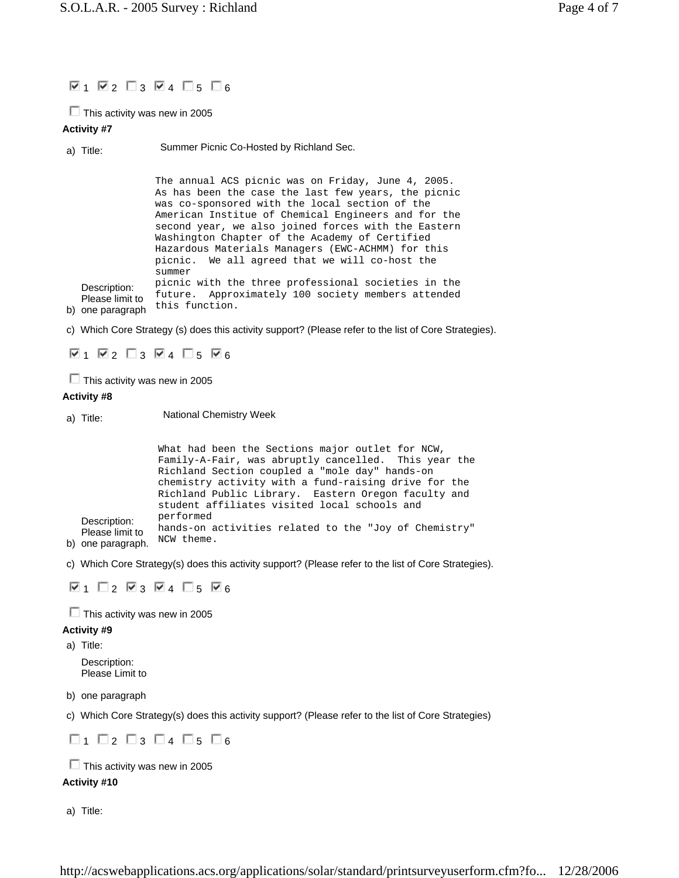# $\n 7$  1  $\n 2$   $\n 1$  3  $\n 4$   $\n 15$   $\n 6$

 $\Box$  This activity was new in 2005

## **Activity #7**

a) Title: Summer Picnic Co-Hosted by Richland Sec.

Description: Please limit to The annual ACS picnic was on Friday, June 4, 2005. As has been the case the last few years, the picnic was co-sponsored with the local section of the American Institue of Chemical Engineers and for the second year, we also joined forces with the Eastern Washington Chapter of the Academy of Certified Hazardous Materials Managers (EWC-ACHMM) for this picnic. We all agreed that we will co-host the summer picnic with the three professional societies in the future. Approximately 100 society members attended this function.

b) one paragraph

c) Which Core Strategy (s) does this activity support? (Please refer to the list of Core Strategies).

 $\nabla_1$   $\nabla_2$   $\nabla_3$   $\nabla_4$   $\nabla_5$   $\nabla_6$ 

 $\Box$  This activity was new in 2005

### **Activity #8**

a) Title: National Chemistry Week

Description: Please limit to What had been the Sections major outlet for NCW, Family-A-Fair, was abruptly cancelled. This year the Richland Section coupled a "mole day" hands-on chemistry activity with a fund-raising drive for the Richland Public Library. Eastern Oregon faculty and student affiliates visited local schools and performed hands-on activities related to the "Joy of Chemistry" NCW theme.

b) one paragraph.

c) Which Core Strategy(s) does this activity support? (Please refer to the list of Core Strategies).

 $\nabla$ 1  $\Box$ 2  $\nabla$ 3  $\nabla$ 4  $\Box$ 5  $\nabla$ 6

 $\Box$  This activity was new in 2005

## **Activity #9**

a) Title:

Description: Please Limit to

b) one paragraph

c) Which Core Strategy(s) does this activity support? (Please refer to the list of Core Strategies)

 $\Box$ 1  $\Box$ 2  $\Box$ 3  $\Box$ 4  $\Box$ 5  $\Box$ 6

 $\Box$  This activity was new in 2005

## **Activity #10**

a) Title: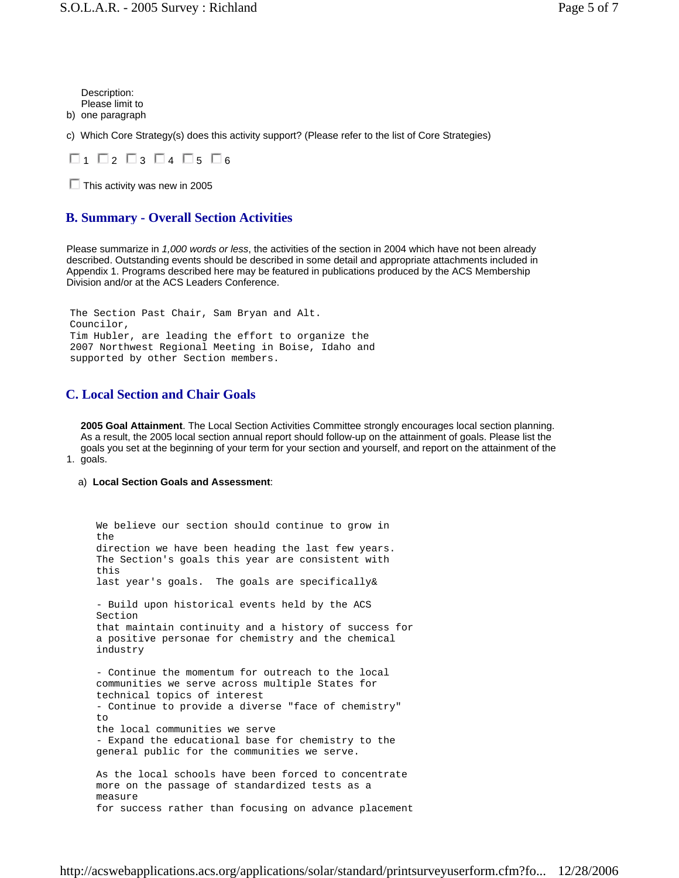b) one paragraph Description: Please limit to

c) Which Core Strategy(s) does this activity support? (Please refer to the list of Core Strategies)



 $\Box$  This activity was new in 2005

## **B. Summary - Overall Section Activities**

Please summarize in *1,000 words or less*, the activities of the section in 2004 which have not been already described. Outstanding events should be described in some detail and appropriate attachments included in Appendix 1. Programs described here may be featured in publications produced by the ACS Membership Division and/or at the ACS Leaders Conference.

The Section Past Chair, Sam Bryan and Alt. Councilor, Tim Hubler, are leading the effort to organize the 2007 Northwest Regional Meeting in Boise, Idaho and supported by other Section members.

## **C. Local Section and Chair Goals**

1. goals. **2005 Goal Attainment**. The Local Section Activities Committee strongly encourages local section planning. As a result, the 2005 local section annual report should follow-up on the attainment of goals. Please list the goals you set at the beginning of your term for your section and yourself, and report on the attainment of the

#### a) **Local Section Goals and Assessment**:

We believe our section should continue to grow in the direction we have been heading the last few years. The Section's goals this year are consistent with this last year's goals. The goals are specifically& - Build upon historical events held by the ACS Section that maintain continuity and a history of success for a positive personae for chemistry and the chemical industry - Continue the momentum for outreach to the local communities we serve across multiple States for technical topics of interest - Continue to provide a diverse "face of chemistry" to the local communities we serve - Expand the educational base for chemistry to the general public for the communities we serve. As the local schools have been forced to concentrate more on the passage of standardized tests as a measure for success rather than focusing on advance placement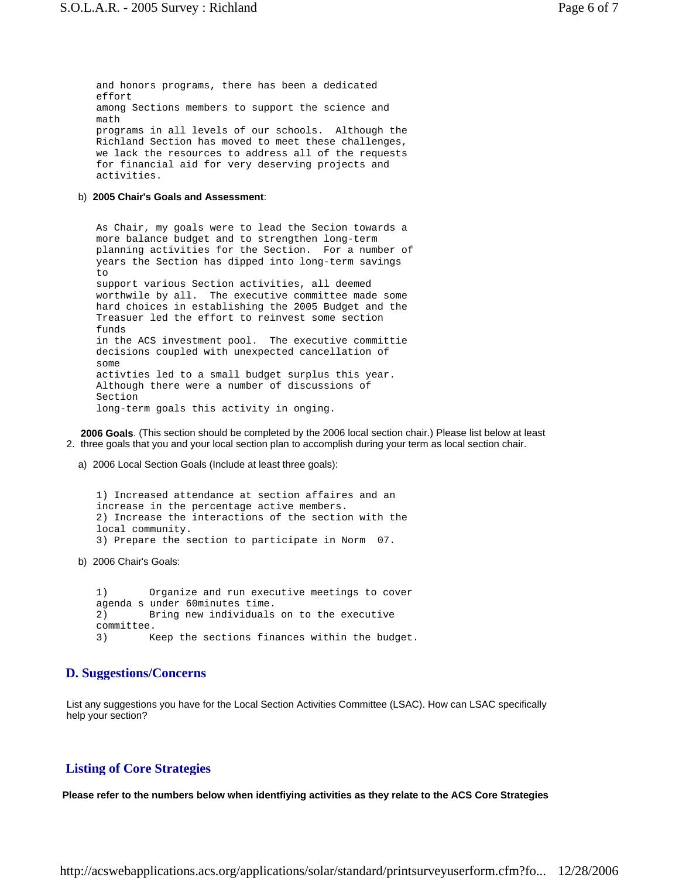and honors programs, there has been a dedicated effort among Sections members to support the science and math programs in all levels of our schools. Although the Richland Section has moved to meet these challenges, we lack the resources to address all of the requests for financial aid for very deserving projects and activities.

#### b) **2005 Chair's Goals and Assessment**:

As Chair, my goals were to lead the Secion towards a more balance budget and to strengthen long-term planning activities for the Section. For a number of years the Section has dipped into long-term savings  $t \circ$ support various Section activities, all deemed worthwile by all. The executive committee made some hard choices in establishing the 2005 Budget and the Treasuer led the effort to reinvest some section funds in the ACS investment pool. The executive committie decisions coupled with unexpected cancellation of some activties led to a small budget surplus this year. Although there were a number of discussions of Section long-term goals this activity in onging.

2. three goals that you and your local section plan to accomplish during your term as local section chair. **2006 Goals**. (This section should be completed by the 2006 local section chair.) Please list below at least

a) 2006 Local Section Goals (Include at least three goals):

1) Increased attendance at section affaires and an increase in the percentage active members. 2) Increase the interactions of the section with the local community. 3) Prepare the section to participate in Norm 07.

b) 2006 Chair's Goals:

1) Organize and run executive meetings to cover agenda s under 60minutes time. 2) Bring new individuals on to the executive committee. 3) Keep the sections finances within the budget.

### **D. Suggestions/Concerns**

List any suggestions you have for the Local Section Activities Committee (LSAC). How can LSAC specifically help your section?

### **Listing of Core Strategies**

**Please refer to the numbers below when identfiying activities as they relate to the ACS Core Strategies**